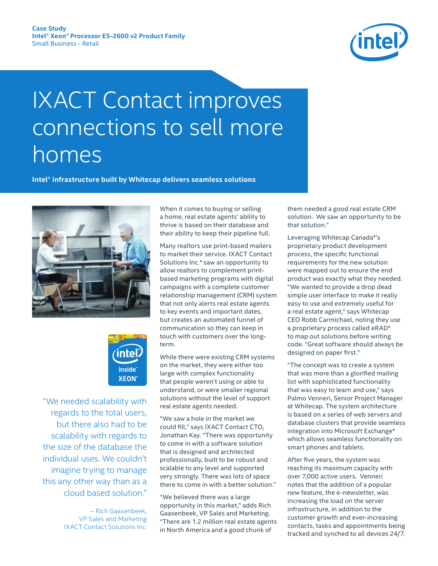

# IXACT Contact improves connections to sell more homes

**Intel® infrastructure built by Whitecap delivers seamless solutions**





 "We needed scalability with regards to the total users, but there also had to be scalability with regards to the size of the database the individual uses. We couldn't imagine trying to manage this any other way than as a cloud based solution."

> – Rich Gaasenbeek, VP Sales and Marketing IXACT Contact Solutions Inc.

When it comes to buying or selling a home, real estate agents' ability to thrive is based on their database and their ability to keep their pipeline full.

Many realtors use print-based mailers to market their service. IXACT Contact Solutions Inc.\* saw an opportunity to allow realtors to complement printbased marketing programs with digital campaigns with a complete customer relationship management (CRM) system that not only alerts real estate agents to key events and important dates, but creates an automated funnel of communication so they can keep in touch with customers over the longterm.

While there were existing CRM systems on the market, they were either too large with complex functionality that people weren't using or able to understand, or were smaller regional solutions without the level of support real estate agents needed.

"We saw a hole in the market we could fill," says IXACT Contact CTO, Jonathan Kay. "There was opportunity to come in with a software solution that is designed and architected professionally, built to be robust and scalable to any level and supported very strongly. There was lots of space there to come in with a better solution."

"We believed there was a large opportunity in this market," adds Rich Gaasenbeek, VP Sales and Marketing. "There are 1.2 million real estate agents in North America and a good chunk of

them needed a good real estate CRM solution. We saw an opportunity to be that solution."

Leveraging Whitecap Canada\*'s proprietary product development process, the specific functional requirements for the new solution were mapped out to ensure the end product was exactly what they needed. "We wanted to provide a drop dead simple user interface to make it really easy to use and extremely useful for a real estate agent," says Whitecap CEO Robb Carmichael, noting they use a proprietary process called eRAD\* to map out solutions before writing code. "Great software should always be designed on paper first."

"The concept was to create a system that was more than a glorified mailing list with sophisticated functionality that was easy to learn and use," says Palmo Venneri, Senior Project Manager at Whitecap. The system architecture is based on a series of web servers and database clusters that provide seamless integration into Microsoft Exchange\* which allows seamless functionality on smart phones and tablets.

After five years, the system was reaching its maximum capacity with over 7,000 active users. Venneri notes that the addition of a popular new feature, the e-newsletter, was increasing the load on the server infrastructure, in addition to the customer growth and ever-increasing contacts, tasks and appointments being tracked and synched to all devices 24/7.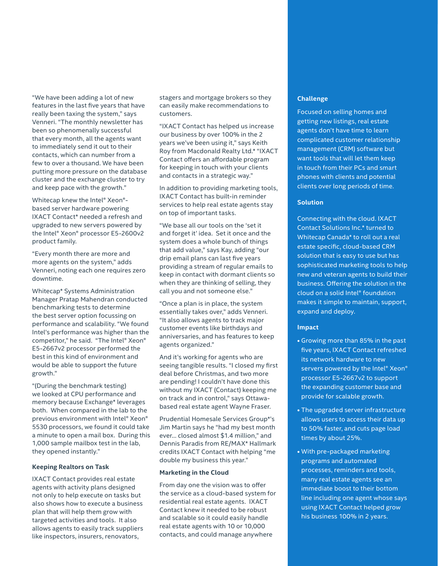"We have been adding a lot of new features in the last five years that have really been taxing the system," says Venneri. "The monthly newsletter has been so phenomenally successful that every month, all the agents want to immediately send it out to their contacts, which can number from a few to over a thousand. We have been putting more pressure on the database cluster and the exchange cluster to try and keep pace with the growth."

Whitecap knew the Intel® Xeon® based server hardware powering IXACT Contact\* needed a refresh and upgraded to new servers powered by the Intel® Xeon® processor E5-2600v2 product family.

"Every month there are more and more agents on the system," adds Venneri, noting each one requires zero downtime.

Whitecap\* Systems Administration Manager Pratap Mahendran conducted benchmarking tests to determine the best server option focussing on performance and scalability. "We found Intel's performance was higher than the competitor," he said. "The Intel® Xeon® E5-2667v2 processor performed the best in this kind of environment and would be able to support the future growth."

"(During the benchmark testing) we looked at CPU performance and memory because Exchange\* leverages both. When compared in the lab to the previous environment with Intel® Xeon® 5530 processors, we found it could take a minute to open a mail box. During this 1,000 sample mailbox test in the lab, they opened instantly."

#### **Keeping Realtors on Task**

IXACT Contact provides real estate agents with activity plans designed not only to help execute on tasks but also shows how to execute a business plan that will help them grow with targeted activities and tools. It also allows agents to easily track suppliers like inspectors, insurers, renovators,

stagers and mortgage brokers so they can easily make recommendations to customers.

"IXACT Contact has helped us increase our business by over 100% in the 2 years we've been using it," says Keith Roy from Macdonald Realty Ltd.\* "IXACT Contact offers an affordable program for keeping in touch with your clients and contacts in a strategic way."

In addition to providing marketing tools, IXACT Contact has built-in reminder services to help real estate agents stay on top of important tasks.

"We base all our tools on the 'set it and forget it' idea. Set it once and the system does a whole bunch of things that add value," says Kay, adding "our drip email plans can last five years providing a stream of regular emails to keep in contact with dormant clients so when they are thinking of selling, they call you and not someone else."

"Once a plan is in place, the system essentially takes over," adds Venneri. "It also allows agents to track major customer events like birthdays and anniversaries, and has features to keep agents organized."

And it's working for agents who are seeing tangible results. "I closed my first deal before Christmas, and two more are pending! I couldn't have done this without my IXACT (Contact) keeping me on track and in control," says Ottawabased real estate agent Wayne Fraser.

Prudential Homesale Services Group\*'s Jim Martin says he "had my best month ever… closed almost \$1.4 million," and Dennis Paradis from RE/MAX\* Hallmark credits IXACT Contact with helping "me double my business this year."

### **Marketing in the Cloud**

From day one the vision was to offer the service as a cloud-based system for residential real estate agents. IXACT Contact knew it needed to be robust and scalable so it could easily handle real estate agents with 10 or 10,000 contacts, and could manage anywhere

# **Challenge**

Focused on selling homes and getting new listings, real estate agents don't have time to learn complicated customer relationship management (CRM) software but want tools that will let them keep in touch from their PCs and smart phones with clients and potential clients over long periods of time.

## **Solution**

Connecting with the cloud. IXACT Contact Solutions Inc.\* turned to Whitecap Canada\* to roll out a real estate specific, cloud-based CRM solution that is easy to use but has sophisticated marketing tools to help new and veteran agents to build their business. Offering the solution in the cloud on a solid Intel® foundation makes it simple to maintain, support, expand and deploy.

# **Impact**

- Growing more than 85% in the past five years, IXACT Contact refreshed its network hardware to new servers powered by the Intel® Xeon® processor E5-2667v2 to support the expanding customer base and provide for scalable growth.
- The upgraded server infrastructure allows users to access their data up to 50% faster, and cuts page load times by about 25%.
- With pre-packaged marketing programs and automated processes, reminders and tools, many real estate agents see an immediate boost to their bottom line including one agent whose says using IXACT Contact helped grow his business 100% in 2 years.